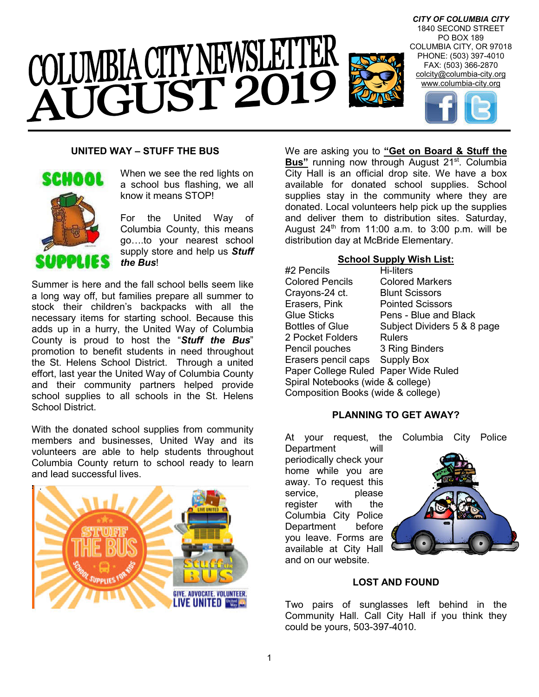

# **UNITED WAY – STUFF THE BUS**



When we see the red lights on a school bus flashing, we all know it means STOP!

For the United Way of Columbia County, this means go….to your nearest school supply store and help us *Stuff the Bus*!

Summer is here and the fall school bells seem like a long way off, but families prepare all summer to stock their children's backpacks with all the necessary items for starting school. Because this adds up in a hurry, the United Way of Columbia County is proud to host the "*Stuff the Bus*" promotion to benefit students in need throughout the St. Helens School District. Through a united effort, last year the United Way of Columbia County and their community partners helped provide school supplies to all schools in the St. Helens School District.

With the donated school supplies from community members and businesses, United Way and its volunteers are able to help students throughout Columbia County return to school ready to learn and lead successful lives.



We are asking you to **"Get on Board & Stuff the Bus**" running now through August 21<sup>st</sup>. Columbia City Hall is an official drop site. We have a box available for donated school supplies. School supplies stay in the community where they are donated. Local volunteers help pick up the supplies and deliver them to distribution sites. Saturday, August  $24<sup>th</sup>$  from 11:00 a.m. to 3:00 p.m. will be distribution day at McBride Elementary.

#### **School Supply Wish List:**

| #2 Pencils                           | Hi-liters                   |  |
|--------------------------------------|-----------------------------|--|
| <b>Colored Pencils</b>               | <b>Colored Markers</b>      |  |
| Crayons-24 ct.                       | <b>Blunt Scissors</b>       |  |
| Erasers, Pink                        | <b>Pointed Scissors</b>     |  |
| <b>Glue Sticks</b>                   | Pens - Blue and Black       |  |
| <b>Bottles of Glue</b>               | Subject Dividers 5 & 8 page |  |
| 2 Pocket Folders                     | Rulers                      |  |
| Pencil pouches                       | 3 Ring Binders              |  |
| Erasers pencil caps Supply Box       |                             |  |
| Paper College Ruled Paper Wide Ruled |                             |  |
| Spiral Notebooks (wide & college)    |                             |  |
| Composition Books (wide & college)   |                             |  |

#### **PLANNING TO GET AWAY?**

At your request, the Columbia City Police

Department will periodically check your home while you are away. To request this service. service, register with the Columbia City Police Department before you leave. Forms are available at City Hall and on our website.



# **LOST AND FOUND**

Two pairs of sunglasses left behind in the Community Hall. Call City Hall if you think they could be yours, 503-397-4010.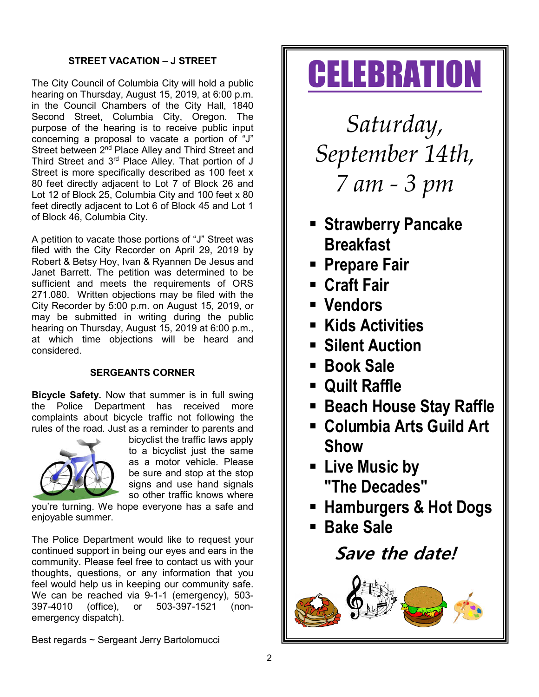# **STREET VACATION – J STREET**

The City Council of Columbia City will hold a public hearing on Thursday, August 15, 2019, at 6:00 p.m. in the Council Chambers of the City Hall, 1840 Second Street, Columbia City, Oregon. The purpose of the hearing is to receive public input concerning a proposal to vacate a portion of "J" Street between 2<sup>nd</sup> Place Alley and Third Street and Third Street and 3<sup>rd</sup> Place Alley. That portion of J Street is more specifically described as 100 feet x 80 feet directly adjacent to Lot 7 of Block 26 and Lot 12 of Block 25, Columbia City and 100 feet x 80 feet directly adjacent to Lot 6 of Block 45 and Lot 1 of Block 46, Columbia City.

A petition to vacate those portions of "J" Street was filed with the City Recorder on April 29, 2019 by Robert & Betsy Hoy, Ivan & Ryannen De Jesus and Janet Barrett. The petition was determined to be sufficient and meets the requirements of ORS 271.080. Written objections may be filed with the City Recorder by 5:00 p.m. on August 15, 2019, or may be submitted in writing during the public hearing on Thursday, August 15, 2019 at 6:00 p.m., at which time objections will be heard and considered.

# **SERGEANTS CORNER**

**Bicycle Safety.** Now that summer is in full swing the Police Department has received more complaints about bicycle traffic not following the rules of the road. Just as a reminder to parents and



bicyclist the traffic laws apply to a bicyclist just the same as a motor vehicle. Please be sure and stop at the stop signs and use hand signals so other traffic knows where

you're turning. We hope everyone has a safe and enjoyable summer.

The Police Department would like to request your continued support in being our eyes and ears in the community. Please feel free to contact us with your thoughts, questions, or any information that you feel would help us in keeping our community safe. We can be reached via 9-1-1 (emergency), 503- 397-4010 (office), or 503-397-1521 (nonemergency dispatch).

# *September 14th,*

*7 am - 3 pm*

**CELEBRATION** 

*Saturday,*

- **F** Strawberry Pancake **Breakfast**
- **Prepare Fair**
- **Craft Fair**
- **Vendors**
- **Kids Activities**
- **F** Silent Auction
- **Book Sale**
- **Quilt Raffle**
- **Beach House Stay Raffle**
- **Columbia Arts Guild Art Show**
- **Live Music by "The Decades"**
- **Hamburgers & Hot Dogs**
- **Bake Sale**

**Save the date!**



Best regards ~ Sergeant Jerry Bartolomucci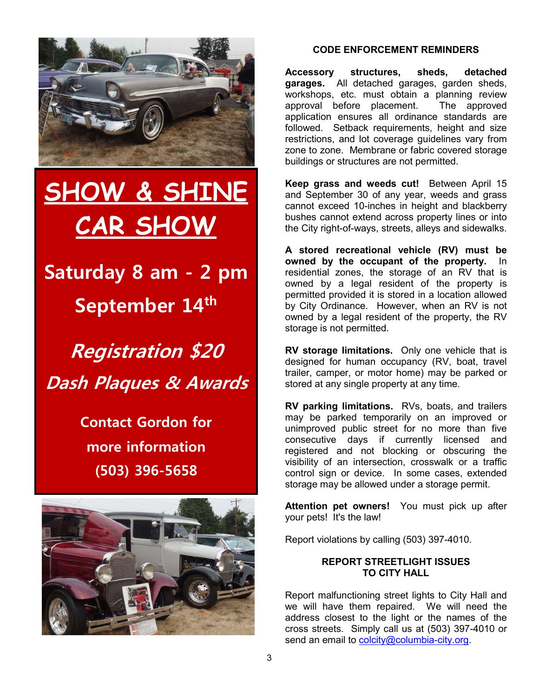

# **SHOW & SHINE CAR SHOW**

**Saturday 8 am - 2 pm September 14th**

**Registration \$20 Dash Plaques & Awards**

> **Contact Gordon for more information (503) 396-5658**



# **CODE ENFORCEMENT REMINDERS**

**Accessory structures, sheds, detached garages.** All detached garages, garden sheds, workshops, etc. must obtain a planning review approval before placement. The approved application ensures all ordinance standards are followed. Setback requirements, height and size restrictions, and lot coverage guidelines vary from zone to zone. Membrane or fabric covered storage buildings or structures are not permitted.

**Keep grass and weeds cut!** Between April 15 and September 30 of any year, weeds and grass cannot exceed 10-inches in height and blackberry bushes cannot extend across property lines or into the City right-of-ways, streets, alleys and sidewalks.

**A stored recreational vehicle (RV) must be owned by the occupant of the property.** In residential zones, the storage of an RV that is owned by a legal resident of the property is permitted provided it is stored in a location allowed by City Ordinance. However, when an RV is not owned by a legal resident of the property, the RV storage is not permitted.

**RV storage limitations.** Only one vehicle that is designed for human occupancy (RV, boat, travel trailer, camper, or motor home) may be parked or stored at any single property at any time.

**RV parking limitations.** RVs, boats, and trailers may be parked temporarily on an improved or unimproved public street for no more than five consecutive days if currently licensed and registered and not blocking or obscuring the visibility of an intersection, crosswalk or a traffic control sign or device. In some cases, extended storage may be allowed under a storage permit.

**Attention pet owners!** You must pick up after your pets! It's the law!

Report violations by calling (503) 397-4010.

# **REPORT STREETLIGHT ISSUES TO CITY HALL**

Report malfunctioning street lights to City Hall and we will have them repaired. We will need the address closest to the light or the names of the cross streets. Simply call us at (503) 397-4010 or send an email to colcity@columbia-city.org.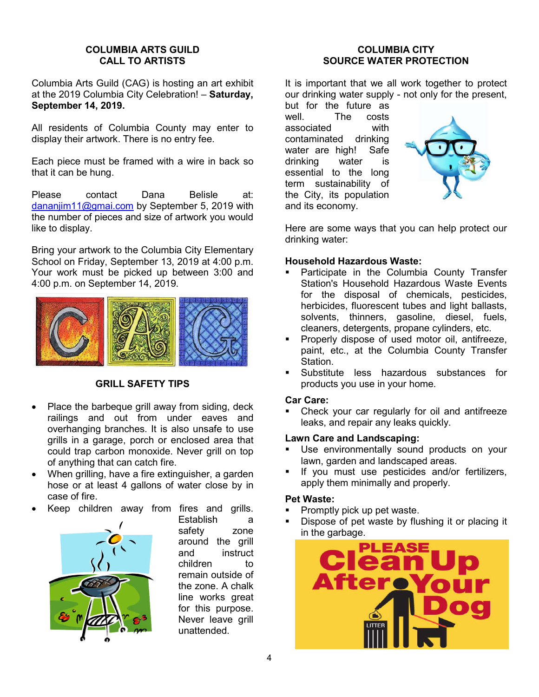#### **COLUMBIA ARTS GUILD CALL TO ARTISTS**

Columbia Arts Guild (CAG) is hosting an art exhibit at the 2019 Columbia City Celebration! – **Saturday, September 14, 2019.**

All residents of Columbia County may enter to display their artwork. There is no entry fee.

Each piece must be framed with a wire in back so that it can be hung.

Please contact Dana Belisle at: dananjim11@gmai.com by September 5, 2019 with the number of pieces and size of artwork you would like to display.

Bring your artwork to the Columbia City Elementary School on Friday, September 13, 2019 at 4:00 p.m. Your work must be picked up between 3:00 and 4:00 p.m. on September 14, 2019.



# **GRILL SAFETY TIPS**

- Place the barbeque grill away from siding, deck railings and out from under eaves and overhanging branches. It is also unsafe to use grills in a garage, porch or enclosed area that could trap carbon monoxide. Never grill on top of anything that can catch fire.
- When grilling, have a fire extinguisher, a garden hose or at least 4 gallons of water close by in case of fire.
- Keep children away from fires and grills.



Establish a safety zone around the grill and instruct children to remain outside of the zone. A chalk line works great for this purpose. Never leave grill unattended.

#### **COLUMBIA CITY SOURCE WATER PROTECTION**

It is important that we all work together to protect our drinking water supply - not only for the present,

but for the future as well. The costs associated with contaminated drinking water are high! Safe drinking water is essential to the long term sustainability of the City, its population and its economy.



Here are some ways that you can help protect our drinking water:

# **Household Hazardous Waste:**

- Participate in the Columbia County Transfer Station's Household Hazardous Waste Events for the disposal of chemicals, pesticides, herbicides, fluorescent tubes and light ballasts, solvents, thinners, gasoline, diesel, fuels, cleaners, detergents, propane cylinders, etc.
- Properly dispose of used motor oil, antifreeze, paint, etc., at the Columbia County Transfer Station.
- Substitute less hazardous substances for products you use in your home.

#### **Car Care:**

 Check your car regularly for oil and antifreeze leaks, and repair any leaks quickly.

# **Lawn Care and Landscaping:**

- **Use environmentally sound products on your** lawn, garden and landscaped areas.
- If you must use pesticides and/or fertilizers, apply them minimally and properly.

# **Pet Waste:**

- Promptly pick up pet waste.
- Dispose of pet waste by flushing it or placing it in the garbage.

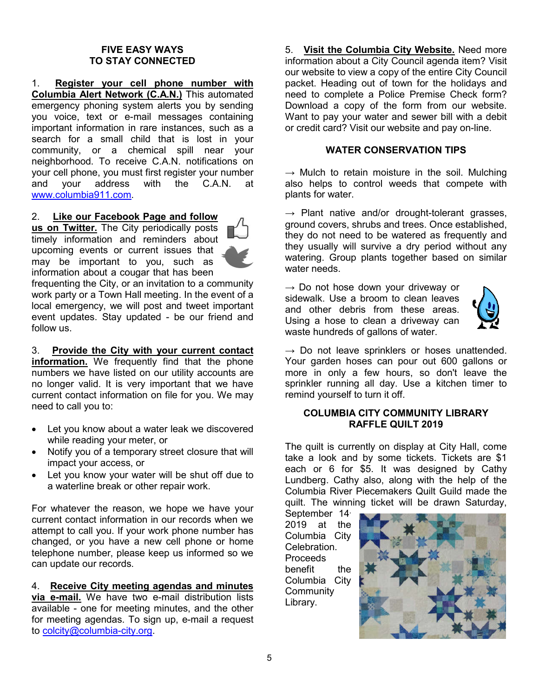#### **FIVE EASY WAYS TO STAY CONNECTED**

1. **Register your cell phone number with Columbia Alert Network (C.A.N.)** This automated emergency phoning system alerts you by sending you voice, text or e-mail messages containing important information in rare instances, such as a search for a small child that is lost in your community, or a chemical spill near your neighborhood. To receive C.A.N. notifications on your cell phone, you must first register your number and your address with the C.A.N. at www.columbia911.com.

#### 2. **Like our Facebook Page and follow**

**us on Twitter.** The City periodically posts timely information and reminders about upcoming events or current issues that may be important to you, such as information about a cougar that has been



frequenting the City, or an invitation to a community work party or a Town Hall meeting. In the event of a local emergency, we will post and tweet important event updates. Stay updated - be our friend and follow us.

3. **Provide the City with your current contact information.** We frequently find that the phone numbers we have listed on our utility accounts are no longer valid. It is very important that we have current contact information on file for you. We may need to call you to:

- Let you know about a water leak we discovered while reading your meter, or
- Notify you of a temporary street closure that will impact your access, or
- Let you know your water will be shut off due to a waterline break or other repair work.

For whatever the reason, we hope we have your current contact information in our records when we attempt to call you. If your work phone number has changed, or you have a new cell phone or home telephone number, please keep us informed so we can update our records.

4. **Receive City meeting agendas and minutes via e-mail.** We have two e-mail distribution lists available - one for meeting minutes, and the other for meeting agendas. To sign up, e-mail a request to colcity@columbia-city.org.

5. **Visit the Columbia City Website.** Need more information about a City Council agenda item? Visit our website to view a copy of the entire City Council packet. Heading out of town for the holidays and need to complete a Police Premise Check form? Download a copy of the form from our website. Want to pay your water and sewer bill with a debit or credit card? Visit our website and pay on-line.

#### **WATER CONSERVATION TIPS**

 $\rightarrow$  Mulch to retain moisture in the soil. Mulching also helps to control weeds that compete with plants for water.

 $\rightarrow$  Plant native and/or drought-tolerant grasses, ground covers, shrubs and trees. Once established, they do not need to be watered as frequently and they usually will survive a dry period without any watering. Group plants together based on similar water needs.

 $\rightarrow$  Do not hose down your driveway or sidewalk. Use a broom to clean leaves and other debris from these areas. Using a hose to clean a driveway can waste hundreds of gallons of water.



 $\rightarrow$  Do not leave sprinklers or hoses unattended. Your garden hoses can pour out 600 gallons or more in only a few hours, so don't leave the sprinkler running all day. Use a kitchen timer to remind yourself to turn it off.

#### **COLUMBIA CITY COMMUNITY LIBRARY RAFFLE QUILT 2019**

The quilt is currently on display at City Hall, come take a look and by some tickets. Tickets are \$1 each or 6 for \$5. It was designed by Cathy Lundberg. Cathy also, along with the help of the Columbia River Piecemakers Quilt Guild made the quilt. The winning ticket will be drawn Saturday,

September 14, 2019 at the Columbia City Celebration. Proceeds benefit the Columbia City **Community** Library.